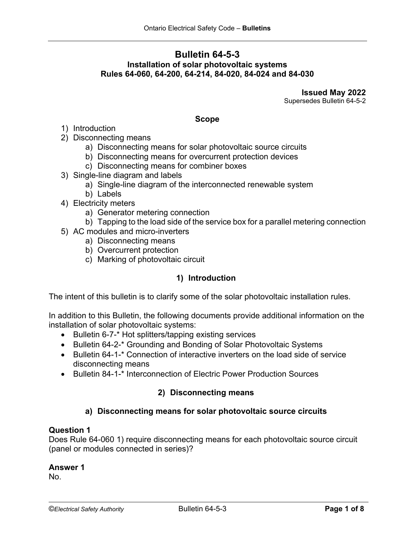# **Bulletin 64-5-3 Installation of solar photovoltaic systems Rules 64-060, 64-200, 64-214, 84-020, 84-024 and 84-030**

**Issued May 2022** Supersedes Bulletin 64-5-2

#### **Scope**

- 1) Introduction
- 2) Disconnecting means
	- a) Disconnecting means for solar photovoltaic source circuits
	- b) Disconnecting means for overcurrent protection devices
	- c) Disconnecting means for combiner boxes
- 3) Single-line diagram and labels
	- a) Single-line diagram of the interconnected renewable system
	- b) Labels
- 4) Electricity meters
	- a) Generator metering connection
- b) Tapping to the load side of the service box for a parallel metering connection
- 5) AC modules and micro-inverters
	- a) Disconnecting means
	- b) Overcurrent protection
	- c) Marking of photovoltaic circuit

#### **1) Introduction**

The intent of this bulletin is to clarify some of the solar photovoltaic installation rules.

In addition to this Bulletin, the following documents provide additional information on the installation of solar photovoltaic systems:

- Bulletin 6-7-\* Hot splitters/tapping existing services
- Bulletin 64-2-\* Grounding and Bonding of Solar Photovoltaic Systems
- Bulletin 64-1-\* Connection of interactive inverters on the load side of service disconnecting means
- Bulletin 84-1-\* Interconnection of Electric Power Production Sources

# **2) Disconnecting means**

# **a) Disconnecting means for solar photovoltaic source circuits**

#### **Question 1**

Does Rule 64-060 1) require disconnecting means for each photovoltaic source circuit (panel or modules connected in series)?

#### **Answer 1**

No.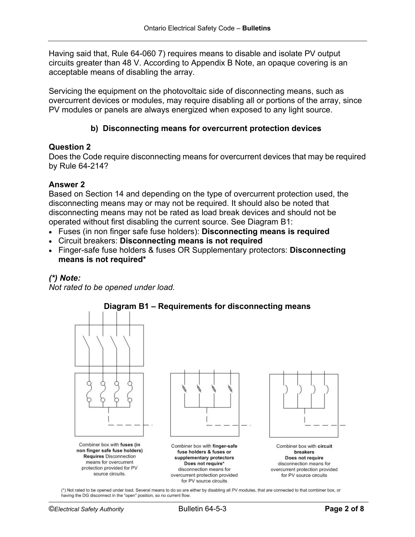Having said that, Rule 64-060 7) requires means to disable and isolate PV output circuits greater than 48 V. According to Appendix B Note, an opaque covering is an acceptable means of disabling the array.

Servicing the equipment on the photovoltaic side of disconnecting means, such as overcurrent devices or modules, may require disabling all or portions of the array, since PV modules or panels are always energized when exposed to any light source.

# **b) Disconnecting means for overcurrent protection devices**

### **Question 2**

Does the Code require disconnecting means for overcurrent devices that may be required by Rule 64-214?

### **Answer 2**

Based on Section 14 and depending on the type of overcurrent protection used, the disconnecting means may or may not be required. It should also be noted that disconnecting means may not be rated as load break devices and should not be operated without first disabling the current source. See Diagram B1:

- Fuses (in non finger safe fuse holders): **Disconnecting means is required**
- Circuit breakers: **Disconnecting means is not required**
- Finger-safe fuse holders & fuses OR Supplementary protectors: **Disconnecting means is not required\***

# *(\*) Note:*

*Not rated to be opened under load.*



# **Diagram B1 – Requirements for disconnecting means**

(\*) Not rated to be opened under load. Several means to do so are either by disabling all PV modules, that are connected to that combiner box, or having the DG disconnect in the "open" position, so no current flow.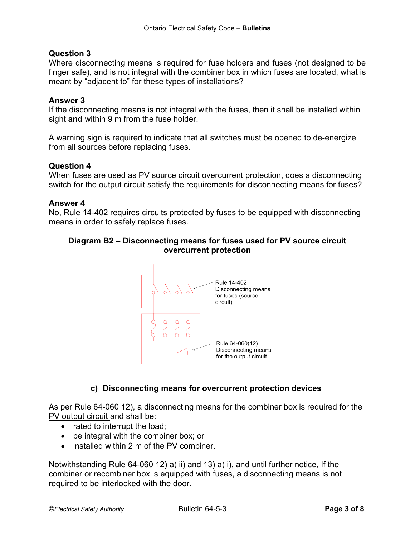### **Question 3**

Where disconnecting means is required for fuse holders and fuses (not designed to be finger safe), and is not integral with the combiner box in which fuses are located, what is meant by "adjacent to" for these types of installations?

### **Answer 3**

If the disconnecting means is not integral with the fuses, then it shall be installed within sight **and** within 9 m from the fuse holder.

A warning sign is required to indicate that all switches must be opened to de-energize from all sources before replacing fuses.

#### **Question 4**

When fuses are used as PV source circuit overcurrent protection, does a disconnecting switch for the output circuit satisfy the requirements for disconnecting means for fuses?

#### **Answer 4**

No, Rule 14-402 requires circuits protected by fuses to be equipped with disconnecting means in order to safely replace fuses.

### **Diagram B2 – Disconnecting means for fuses used for PV source circuit overcurrent protection**



# **c) Disconnecting means for overcurrent protection devices**

As per Rule 64-060 12), a disconnecting means for the combiner box is required for the PV output circuit and shall be:

- rated to interrupt the load;
- be integral with the combiner box; or
- installed within 2 m of the PV combiner

Notwithstanding Rule 64-060 12) a) ii) and 13) a) i), and until further notice, If the combiner or recombiner box is equipped with fuses, a disconnecting means is not required to be interlocked with the door.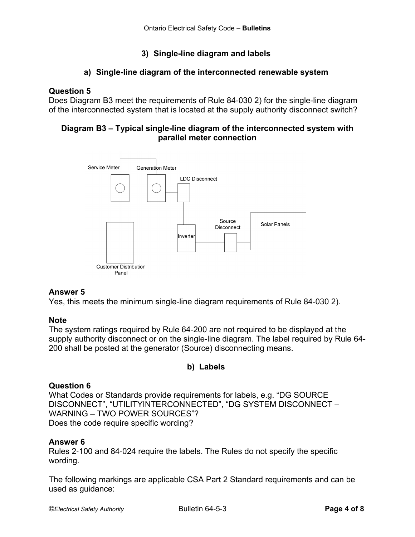# **3) Single-line diagram and labels**

# **a) Single-line diagram of the interconnected renewable system**

### **Question 5**

Does Diagram B3 meet the requirements of Rule 84-030 2) for the single-line diagram of the interconnected system that is located at the supply authority disconnect switch?

# **Diagram B3 – Typical single-line diagram of the interconnected system with parallel meter connection**



# **Answer 5**

Yes, this meets the minimum single-line diagram requirements of Rule 84-030 2).

#### **Note**

The system ratings required by Rule 64-200 are not required to be displayed at the supply authority disconnect or on the single-line diagram. The label required by Rule 64- 200 shall be posted at the generator (Source) disconnecting means.

# **b) Labels**

#### **Question 6**

What Codes or Standards provide requirements for labels, e.g. "DG SOURCE DISCONNECT", "UTILITYINTERCONNECTED", "DG SYSTEM DISCONNECT – WARNING – TWO POWER SOURCES"? Does the code require specific wording?

#### **Answer 6**

Rules 2‐100 and 84‐024 require the labels. The Rules do not specify the specific wording.

The following markings are applicable CSA Part 2 Standard requirements and can be used as guidance: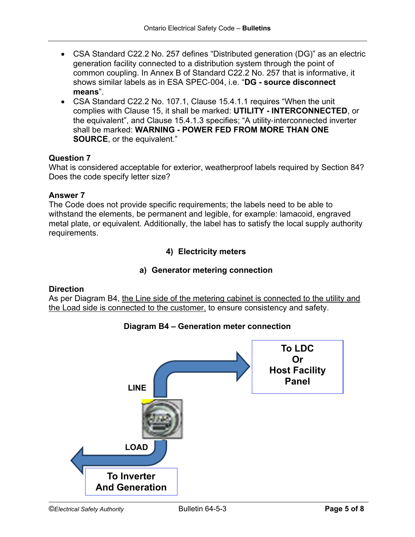- CSA Standard C22.2 No. 257 defines "Distributed generation (DG)" as an electric generation facility connected to a distribution system through the point of common coupling. In Annex B of Standard C22.2 No. 257 that is informative, it shows similar labels as in ESA SPEC‐004, i.e. "**DG - source disconnect means**".
- CSA Standard C22.2 No. 107.1, Clause 15.4.1.1 requires "When the unit complies with Clause 15, it shall be marked: **UTILITY - INTERCONNECTED**, or the equivalent", and Clause 15.4.1.3 specifies; "A utility‐interconnected inverter shall be marked: **WARNING - POWER FED FROM MORE THAN ONE SOURCE**, or the equivalent."

# **Question 7**

What is considered acceptable for exterior, weatherproof labels required by Section 84? Does the code specify letter size?

# **Answer 7**

The Code does not provide specific requirements; the labels need to be able to withstand the elements, be permanent and legible, for example: lamacoid, engraved metal plate, or equivalent. Additionally, the label has to satisfy the local supply authority requirements.

# **4) Electricity meters**

# **a) Generator metering connection**

# **Direction**

As per Diagram B4, the Line side of the metering cabinet is connected to the utility and the Load side is connected to the customer, to ensure consistency and safety.



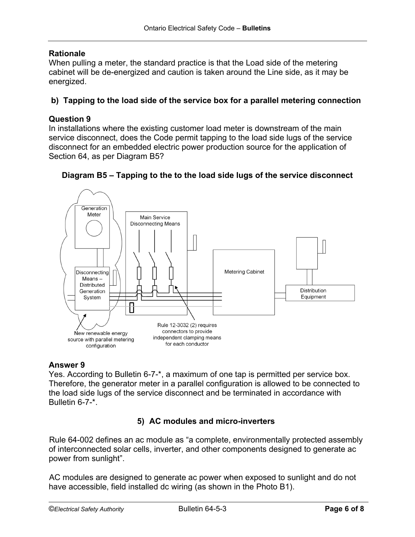# **Rationale**

When pulling a meter, the standard practice is that the Load side of the metering cabinet will be de-energized and caution is taken around the Line side, as it may be energized.

# **b) Tapping to the load side of the service box for a parallel metering connection**

### **Question 9**

In installations where the existing customer load meter is downstream of the main service disconnect, does the Code permit tapping to the load side lugs of the service disconnect for an embedded electric power production source for the application of Section 64, as per Diagram B5?





#### **Answer 9**

Yes. According to Bulletin 6-7-\*, a maximum of one tap is permitted per service box. Therefore, the generator meter in a parallel configuration is allowed to be connected to the load side lugs of the service disconnect and be terminated in accordance with Bulletin 6-7-\*.

# **5) AC modules and micro-inverters**

Rule 64-002 defines an ac module as "a complete, environmentally protected assembly of interconnected solar cells, inverter, and other components designed to generate ac power from sunlight".

AC modules are designed to generate ac power when exposed to sunlight and do not have accessible, field installed dc wiring (as shown in the Photo B1).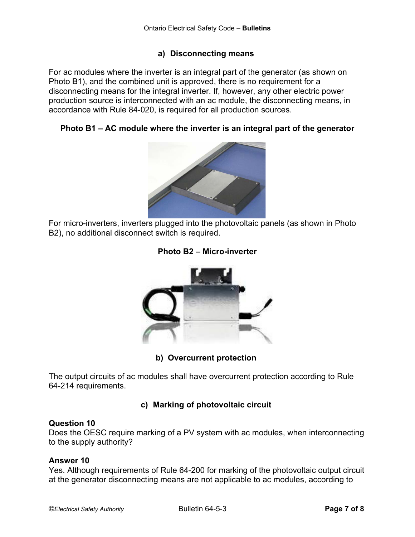# **a) Disconnecting means**

For ac modules where the inverter is an integral part of the generator (as shown on Photo B1), and the combined unit is approved, there is no requirement for a disconnecting means for the integral inverter. If, however, any other electric power production source is interconnected with an ac module, the disconnecting means, in accordance with Rule 84-020, is required for all production sources.

### **Photo B1 – AC module where the inverter is an integral part of the generator**



For micro-inverters, inverters plugged into the photovoltaic panels (as shown in Photo B2), no additional disconnect switch is required.





**b) Overcurrent protection**

The output circuits of ac modules shall have overcurrent protection according to Rule 64-214 requirements.

# **c) Marking of photovoltaic circuit**

#### **Question 10**

Does the OESC require marking of a PV system with ac modules, when interconnecting to the supply authority?

#### **Answer 10**

Yes. Although requirements of Rule 64-200 for marking of the photovoltaic output circuit at the generator disconnecting means are not applicable to ac modules, according to